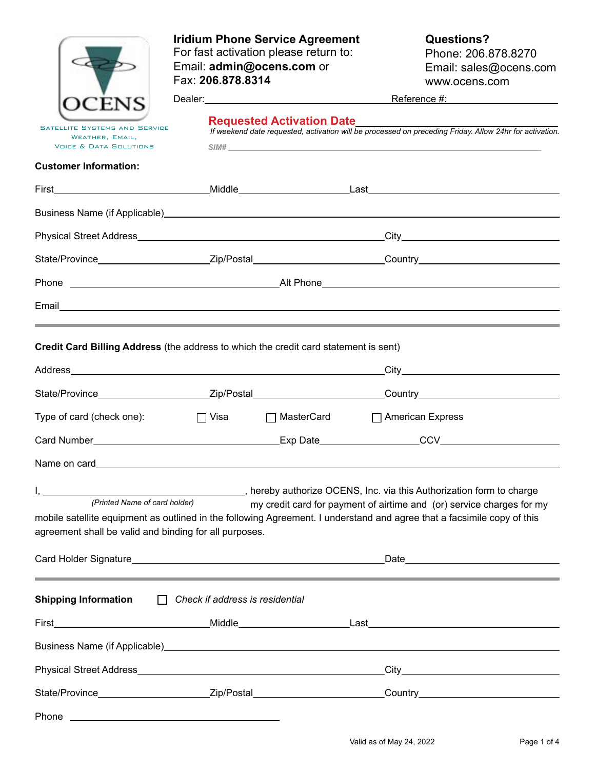|                                                                                              | <b>Iridium Phone Service Agreement</b><br>For fast activation please return to:<br>Email: admin@ocens.com or<br>Fax: 206.878.8314                                                                                               | <b>Questions?</b><br>Phone: 206.878.8270<br>Email: sales@ocens.com<br>www.ocens.com                                                                                                                                                 |  |  |  |  |  |
|----------------------------------------------------------------------------------------------|---------------------------------------------------------------------------------------------------------------------------------------------------------------------------------------------------------------------------------|-------------------------------------------------------------------------------------------------------------------------------------------------------------------------------------------------------------------------------------|--|--|--|--|--|
|                                                                                              |                                                                                                                                                                                                                                 | Reference #: Network and Alexander Account Account Account Account Account Account Account Account Account Account Account Account Account Account Account Account Account Account Account Account Account Account Account Acc      |  |  |  |  |  |
| <b>SATELLITE SYSTEMS AND SERVICE</b><br>WEATHER, EMAIL,<br><b>VOICE &amp; DATA SOLUTIONS</b> | <b>Requested Activation Date</b> Manual Manual Manual Manual Manual Manual Manual Manual Manual Manual Manual Manual<br>If weekend date requested, activation will be processed on preceding Friday. Allow 24hr for activation. |                                                                                                                                                                                                                                     |  |  |  |  |  |
| <b>Customer Information:</b>                                                                 |                                                                                                                                                                                                                                 |                                                                                                                                                                                                                                     |  |  |  |  |  |
|                                                                                              |                                                                                                                                                                                                                                 |                                                                                                                                                                                                                                     |  |  |  |  |  |
|                                                                                              |                                                                                                                                                                                                                                 | Business Name (if Applicable) <b>Example 20</b> No. 2014 12:30 No. 2014 12:30 No. 2014 12:30 No. 2014 12:30 No. 2014 12:30 No. 2014 12:30 No. 2014 12:30 No. 2014 12:30 No. 2014 12:30 No. 2014 12:30 No. 2014 12:30 No. 2014 12:30 |  |  |  |  |  |
|                                                                                              |                                                                                                                                                                                                                                 |                                                                                                                                                                                                                                     |  |  |  |  |  |
|                                                                                              |                                                                                                                                                                                                                                 | State/Province_________________________Zip/Postal__________________________Country____________________________                                                                                                                      |  |  |  |  |  |
|                                                                                              |                                                                                                                                                                                                                                 |                                                                                                                                                                                                                                     |  |  |  |  |  |
|                                                                                              |                                                                                                                                                                                                                                 |                                                                                                                                                                                                                                     |  |  |  |  |  |
|                                                                                              |                                                                                                                                                                                                                                 | ,我们也不会有什么?""我们的人,我们也不会有什么?""我们的人,我们也不会有什么?""我们的人,我们也不会有什么?""我们的人,我们也不会有什么?""我们的人                                                                                                                                                    |  |  |  |  |  |
|                                                                                              | Credit Card Billing Address (the address to which the credit card statement is sent)                                                                                                                                            |                                                                                                                                                                                                                                     |  |  |  |  |  |
|                                                                                              |                                                                                                                                                                                                                                 |                                                                                                                                                                                                                                     |  |  |  |  |  |
|                                                                                              |                                                                                                                                                                                                                                 | State/Province__________________________Zip/Postal___________________________Country__________________________                                                                                                                      |  |  |  |  |  |
| Type of card (check one):                                                                    | $\Box$ Visa<br>□ MasterCard                                                                                                                                                                                                     | $\Box$ American Express                                                                                                                                                                                                             |  |  |  |  |  |
|                                                                                              |                                                                                                                                                                                                                                 |                                                                                                                                                                                                                                     |  |  |  |  |  |
| Name on card <b>Name on card</b>                                                             |                                                                                                                                                                                                                                 |                                                                                                                                                                                                                                     |  |  |  |  |  |
| (Printed Name of card holder)<br>agreement shall be valid and binding for all purposes.      |                                                                                                                                                                                                                                 | my credit card for payment of airtime and (or) service charges for my<br>mobile satellite equipment as outlined in the following Agreement. I understand and agree that a facsimile copy of this                                    |  |  |  |  |  |
|                                                                                              |                                                                                                                                                                                                                                 |                                                                                                                                                                                                                                     |  |  |  |  |  |
| <b>Shipping Information</b>                                                                  | $\Box$ Check if address is residential                                                                                                                                                                                          |                                                                                                                                                                                                                                     |  |  |  |  |  |
|                                                                                              |                                                                                                                                                                                                                                 |                                                                                                                                                                                                                                     |  |  |  |  |  |
|                                                                                              |                                                                                                                                                                                                                                 |                                                                                                                                                                                                                                     |  |  |  |  |  |
|                                                                                              |                                                                                                                                                                                                                                 |                                                                                                                                                                                                                                     |  |  |  |  |  |
|                                                                                              |                                                                                                                                                                                                                                 | State/Province___________________________Zip/Postal____________________________Country________________________                                                                                                                      |  |  |  |  |  |
| Phone                                                                                        | <u> 1989 - Johann Barn, fransk politik (d. 1989)</u>                                                                                                                                                                            |                                                                                                                                                                                                                                     |  |  |  |  |  |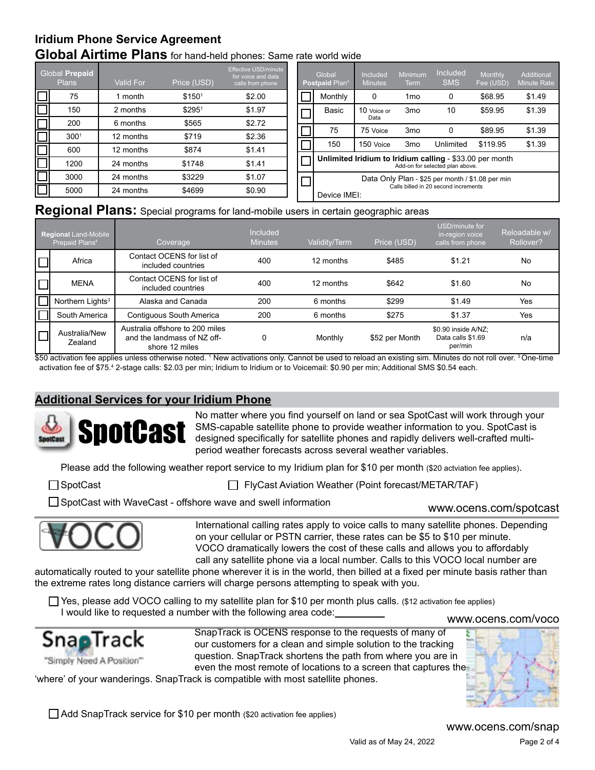# **Global Airtime Plans** for hand-held phones: Same rate world wide **Iridium Phone Service Agreement**

|        | <b>Global Prepaid</b><br><b>Plans</b> | Valid For | Price (USD)        | <b>Effective USD/minute</b><br>for voice and data<br>calls from phone | Global<br>Postpaid Plan <sup>4</sup>                                                        | Included<br><b>Minutes</b> | Minimum<br>Term | Included<br><b>SMS</b> | Monthly<br>Fee (USD) | Additional<br><b>Minute Rate</b> |
|--------|---------------------------------------|-----------|--------------------|-----------------------------------------------------------------------|---------------------------------------------------------------------------------------------|----------------------------|-----------------|------------------------|----------------------|----------------------------------|
|        | 75                                    | l month   | \$150 <sup>1</sup> | \$2.00                                                                | Monthly                                                                                     | 0                          | 1 <sub>mo</sub> | 0                      | \$68.95              | \$1.49                           |
|        | 150                                   | 2 months  | \$2951             | \$1.97                                                                | Basic                                                                                       | 10 Voice or                | 3 <sub>mo</sub> | 10                     | \$59.95              | \$1.39                           |
|        | 200                                   | 6 months  | \$565              | \$2.72                                                                |                                                                                             | Data                       |                 |                        |                      |                                  |
|        | 300 <sup>1</sup>                      | 12 months | \$719              | \$2.36                                                                | 75                                                                                          | 75 Voice                   | 3 <sub>mo</sub> |                        | \$89.95              | \$1.39                           |
| $\Box$ | 600                                   | 12 months | \$874              | \$1.41                                                                | 150                                                                                         | 150 Voice                  | 3 <sub>mo</sub> | Unlimited              | \$119.95             | \$1.39                           |
|        |                                       |           |                    |                                                                       |                                                                                             |                            |                 |                        |                      |                                  |
| $\Box$ | 1200                                  | 24 months | \$1748             | \$1.41                                                                | Unlimited Iridium to Iridium calling - \$33.00 per month<br>Add-on for selected plan above. |                            |                 |                        |                      |                                  |
|        | 3000                                  | 24 months | \$3229             | \$1.07                                                                | Data Only Plan - \$25 per month / \$1.08 per min                                            |                            |                 |                        |                      |                                  |
|        | 5000                                  | 24 months | \$4699             | \$0.90                                                                | Calls billed in 20 second increments<br>Device IMEI:                                        |                            |                 |                        |                      |                                  |

## **Regional Plans:** Special programs for land-mobile users in certain geographic areas

| <b>Regional Land-Mobile</b><br>Prepaid Plans <sup>4</sup> | Coverage                                                                         | Included<br><b>Minutes</b> | Validity/Term | Price (USD)    | USD/minute for<br>in-region voice<br>calls from phone | Reloadable w/<br>Rollover? |
|-----------------------------------------------------------|----------------------------------------------------------------------------------|----------------------------|---------------|----------------|-------------------------------------------------------|----------------------------|
| Africa                                                    | Contact OCENS for list of<br>included countries                                  | 400                        | 12 months     | \$485          | \$1.21                                                | No                         |
| <b>MENA</b>                                               | Contact OCENS for list of<br>included countries                                  | 400                        | 12 months     | \$642          | \$1.60                                                | <b>No</b>                  |
| Northern Lights <sup>3</sup>                              | Alaska and Canada                                                                | 200                        | 6 months      | \$299          | \$1.49                                                | Yes                        |
| South America                                             | Contiguous South America                                                         | 200                        | 6 months      | \$275          | \$1.37                                                | Yes                        |
| Australia/New<br>Zealand                                  | Australia offshore to 200 miles<br>and the landmass of NZ off-<br>shore 12 miles | 0                          | Monthly       | \$52 per Month | \$0.90 inside A/NZ:<br>Data calls \$1.69<br>per/min   | n/a                        |

\$50 activation fee applies unless otherwise noted. <sup>1</sup> New activations only. Cannot be used to reload an existing sim. Minutes do not roll over. <sup>3</sup> One-time activation fee of \$75.4 2-stage calls: \$2.03 per min; Iridium to Iridium or to Voicemail: \$0.90 per min; Additional SMS \$0.54 each.

## **Additional Services for your Iridium Phone**



No matter where you find yourself on land or sea SpotCast will work through your SMS-capable satellite phone to provide weather information to you. SpotCast is designed specifically for satellite phones and rapidly delivers well-crafted multiperiod weather forecasts across several weather variables.

Please add the following weather report service to my Iridium plan for \$10 per month (\$20 actviation fee applies).

SpotCast FlyCast Aviation Weather (Point forecast/METAR/TAF)

□ SpotCast with WaveCast - offshore wave and swell information



International calling rates apply to voice calls to many satellite phones. Depending on your cellular or PSTN carrier, these rates can be \$5 to \$10 per minute. VOCO dramatically lowers the cost of these calls and allows you to affordably call any satellite phone via a local number. Calls to this VOCO local number are

automatically routed to your satellite phone wherever it is in the world, then billed at a fixed per minute basis rather than the extreme rates long distance carriers will charge persons attempting to speak with you.

<www.ocens.com/voco> Yes, please add VOCO calling to my satellite plan for \$10 per month plus calls. (\$12 activation fee applies) I would like to requested a number with the following area code:



SnapTrack is OCENS response to the requests of many of our customers for a clean and simple solution to the tracking question. SnapTrack shortens the path from where you are in even the most remote of locations to a screen that captures the

'where' of your wanderings. SnapTrack is compatible with most satellite phones.

Add SnapTrack service for \$10 per month (\$20 activation fee applies)

<www.ocens.com/snap>

www.ocens.com/spotcast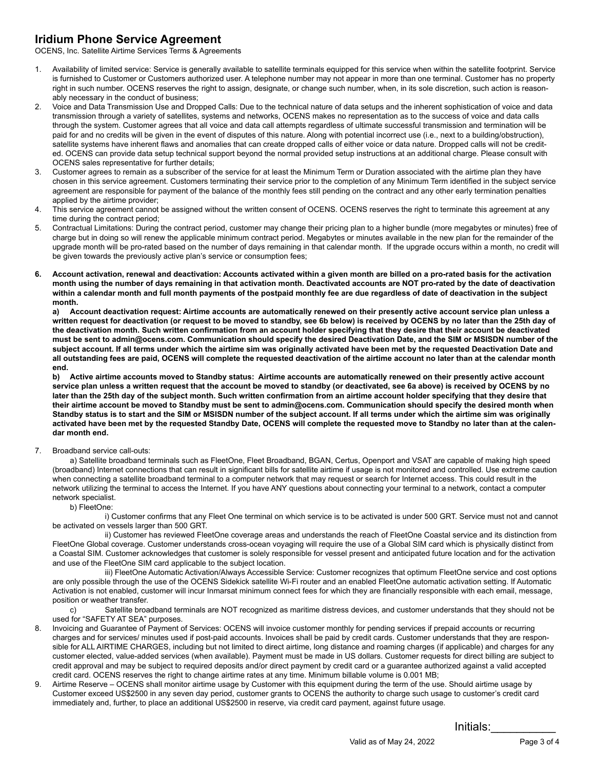### **Iridium Phone Service Agreement**

OCENS, Inc. Satellite Airtime Services Terms & Agreements

- 1. Availability of limited service: Service is generally available to satellite terminals equipped for this service when within the satellite footprint. Service is furnished to Customer or Customers authorized user. A telephone number may not appear in more than one terminal. Customer has no property right in such number. OCENS reserves the right to assign, designate, or change such number, when, in its sole discretion, such action is reasonably necessary in the conduct of business;
- 2. Voice and Data Transmission Use and Dropped Calls: Due to the technical nature of data setups and the inherent sophistication of voice and data transmission through a variety of satellites, systems and networks, OCENS makes no representation as to the success of voice and data calls through the system. Customer agrees that all voice and data call attempts regardless of ultimate successful transmission and termination will be paid for and no credits will be given in the event of disputes of this nature. Along with potential incorrect use (i.e., next to a building/obstruction), satellite systems have inherent flaws and anomalies that can create dropped calls of either voice or data nature. Dropped calls will not be credited. OCENS can provide data setup technical support beyond the normal provided setup instructions at an additional charge. Please consult with OCENS sales representative for further details;
- 3. Customer agrees to remain as a subscriber of the service for at least the Minimum Term or Duration associated with the airtime plan they have chosen in this service agreement. Customers terminating their service prior to the completion of any Minimum Term identified in the subject service agreement are responsible for payment of the balance of the monthly fees still pending on the contract and any other early termination penalties applied by the airtime provider;
- 4. This service agreement cannot be assigned without the written consent of OCENS. OCENS reserves the right to terminate this agreement at any time during the contract period;
- 5. Contractual Limitations: During the contract period, customer may change their pricing plan to a higher bundle (more megabytes or minutes) free of charge but in doing so will renew the applicable minimum contract period. Megabytes or minutes available in the new plan for the remainder of the upgrade month will be pro-rated based on the number of days remaining in that calendar month. If the upgrade occurs within a month, no credit will be given towards the previously active plan's service or consumption fees;
- **6. Account activation, renewal and deactivation: Accounts activated within a given month are billed on a pro-rated basis for the activation month using the number of days remaining in that activation month. Deactivated accounts are NOT pro-rated by the date of deactivation within a calendar month and full month payments of the postpaid monthly fee are due regardless of date of deactivation in the subject month.**

**a) Account deactivation request: Airtime accounts are automatically renewed on their presently active account service plan unless a written request for deactivation (or request to be moved to standby, see 6b below) is received by OCENS by no later than the 25th day of the deactivation month. Such written confirmation from an account holder specifying that they desire that their account be deactivated must be sent to admin@ocens.com. Communication should specify the desired Deactivation Date, and the SIM or MSISDN number of the subject account. If all terms under which the airtime sim was originally activated have been met by the requested Deactivation Date and all outstanding fees are paid, OCENS will complete the requested deactivation of the airtime account no later than at the calendar month end.**

**b) Active airtime accounts moved to Standby status: Airtime accounts are automatically renewed on their presently active account service plan unless a written request that the account be moved to standby (or deactivated, see 6a above) is received by OCENS by no later than the 25th day of the subject month. Such written confirmation from an airtime account holder specifying that they desire that their airtime account be moved to Standby must be sent to admin@ocens.com. Communication should specify the desired month when Standby status is to start and the SIM or MSISDN number of the subject account. If all terms under which the airtime sim was originally activated have been met by the requested Standby Date, OCENS will complete the requested move to Standby no later than at the calendar month end.**

7. Broadband service call-outs:

a) Satellite broadband terminals such as FleetOne, Fleet Broadband, BGAN, Certus, Openport and VSAT are capable of making high speed (broadband) Internet connections that can result in significant bills for satellite airtime if usage is not monitored and controlled. Use extreme caution when connecting a satellite broadband terminal to a computer network that may request or search for Internet access. This could result in the network utilizing the terminal to access the Internet. If you have ANY questions about connecting your terminal to a network, contact a computer network specialist.

#### b) FleetOne:

i) Customer confirms that any Fleet One terminal on which service is to be activated is under 500 GRT. Service must not and cannot be activated on vessels larger than 500 GRT.

 ii) Customer has reviewed FleetOne coverage areas and understands the reach of FleetOne Coastal service and its distinction from FleetOne Global coverage. Customer understands cross-ocean voyaging will require the use of a Global SIM card which is physically distinct from a Coastal SIM. Customer acknowledges that customer is solely responsible for vessel present and anticipated future location and for the activation and use of the FleetOne SIM card applicable to the subject location.

 iii) FleetOne Automatic Activation/Always Accessible Service: Customer recognizes that optimum FleetOne service and cost options are only possible through the use of the OCENS Sidekick satellite Wi-Fi router and an enabled FleetOne automatic activation setting. If Automatic Activation is not enabled, customer will incur Inmarsat minimum connect fees for which they are financially responsible with each email, message, position or weather transfer.

c) Satellite broadband terminals are NOT recognized as maritime distress devices, and customer understands that they should not be used for "SAFETY AT SEA" purposes.

- 8. Invoicing and Guarantee of Payment of Services: OCENS will invoice customer monthly for pending services if prepaid accounts or recurring charges and for services/ minutes used if post-paid accounts. Invoices shall be paid by credit cards. Customer understands that they are responsible for ALL AIRTIME CHARGES, including but not limited to direct airtime, long distance and roaming charges (if applicable) and charges for any customer elected, value-added services (when available). Payment must be made in US dollars. Customer requests for direct billing are subject to credit approval and may be subject to required deposits and/or direct payment by credit card or a guarantee authorized against a valid accepted credit card. OCENS reserves the right to change airtime rates at any time. Minimum billable volume is 0.001 MB;
- 9. Airtime Reserve OCENS shall monitor airtime usage by Customer with this equipment during the term of the use. Should airtime usage by Customer exceed US\$2500 in any seven day period, customer grants to OCENS the authority to charge such usage to customer's credit card immediately and, further, to place an additional US\$2500 in reserve, via credit card payment, against future usage.

Initials:\_\_\_\_\_\_\_\_\_\_